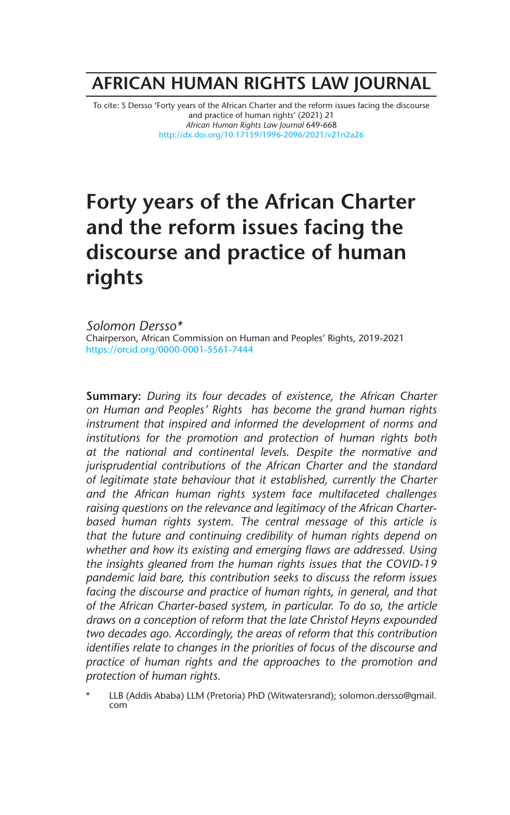# **AFRICAN HUMAN RIGHTS LAW JOURNAL**

To cite: S Dersso 'Forty years of the African Charter and the reform issues facing the discourse and practice of human rights' (2021) 21 *African Human Rights Law Journal* 649-668 http://dx.doi.org/10.17159/1996-2096/2021/v21n2a26

# **Forty years of the African Charter and the reform issues facing the discourse and practice of human rights**

*Solomon Dersso\** Chairperson, African Commission on Human and Peoples' Rights, 2019-2021 https://orcid.org/0000-0001-5561-7444

**Summary:** *During its four decades of existence, the African Charter on Human and Peoples' Rights has become the grand human rights instrument that inspired and informed the development of norms and institutions for the promotion and protection of human rights both at the national and continental levels. Despite the normative and jurisprudential contributions of the African Charter and the standard of legitimate state behaviour that it established, currently the Charter and the African human rights system face multifaceted challenges raising questions on the relevance and legitimacy of the African Charterbased human rights system. The central message of this article is that the future and continuing credibility of human rights depend on whether and how its existing and emerging flaws are addressed. Using the insights gleaned from the human rights issues that the COVID-19 pandemic laid bare, this contribution seeks to discuss the reform issues facing the discourse and practice of human rights, in general, and that of the African Charter-based system, in particular. To do so, the article draws on a conception of reform that the late Christof Heyns expounded two decades ago. Accordingly, the areas of reform that this contribution identifies relate to changes in the priorities of focus of the discourse and practice of human rights and the approaches to the promotion and protection of human rights.* 

LLB (Addis Ababa) LLM (Pretoria) PhD (Witwatersrand); solomon.dersso@gmail. com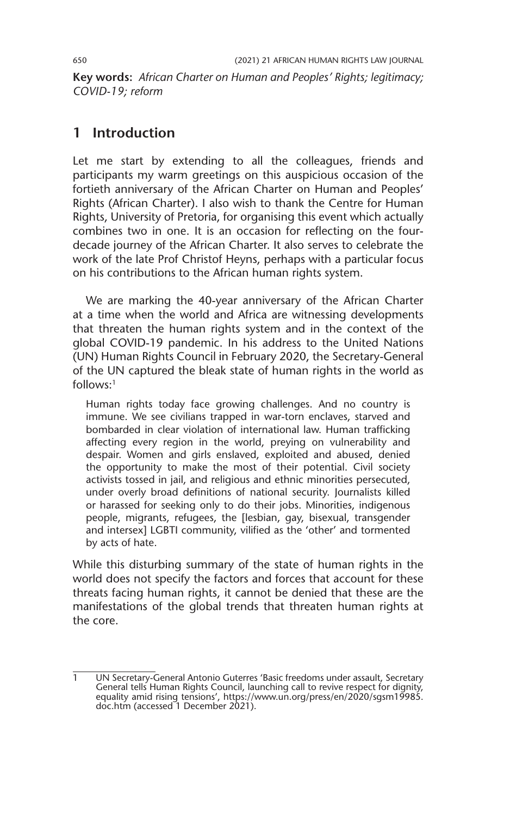**Key words:** *African Charter on Human and Peoples' Rights; legitimacy; COVID-19; reform*

### **1 Introduction**

Let me start by extending to all the colleagues, friends and participants my warm greetings on this auspicious occasion of the fortieth anniversary of the African Charter on Human and Peoples' Rights (African Charter). I also wish to thank the Centre for Human Rights, University of Pretoria, for organising this event which actually combines two in one. It is an occasion for reflecting on the fourdecade journey of the African Charter. It also serves to celebrate the work of the late Prof Christof Heyns, perhaps with a particular focus on his contributions to the African human rights system.

We are marking the 40-year anniversary of the African Charter at a time when the world and Africa are witnessing developments that threaten the human rights system and in the context of the global COVID-19 pandemic. In his address to the United Nations (UN) Human Rights Council in February 2020, the Secretary-General of the UN captured the bleak state of human rights in the world as  $follows<sup>-1</sup>$ 

Human rights today face growing challenges. And no country is immune. We see civilians trapped in war-torn enclaves, starved and bombarded in clear violation of international law. Human trafficking affecting every region in the world, preying on vulnerability and despair. Women and girls enslaved, exploited and abused, denied the opportunity to make the most of their potential. Civil society activists tossed in jail, and religious and ethnic minorities persecuted, under overly broad definitions of national security. Journalists killed or harassed for seeking only to do their jobs. Minorities, indigenous people, migrants, refugees, the [lesbian, gay, bisexual, transgender and intersex] LGBTI community, vilified as the 'other' and tormented by acts of hate.

While this disturbing summary of the state of human rights in the world does not specify the factors and forces that account for these threats facing human rights, it cannot be denied that these are the manifestations of the global trends that threaten human rights at the core.

UN Secretary-General Antonio Guterres 'Basic freedoms under assault, Secretary General tells Human Rights Council, launching call to revive respect for dignity, equality amid rising tensions', https://www.un.org/press/en/2020/sgsm19985. doc.htm (accessed 1 December 2021).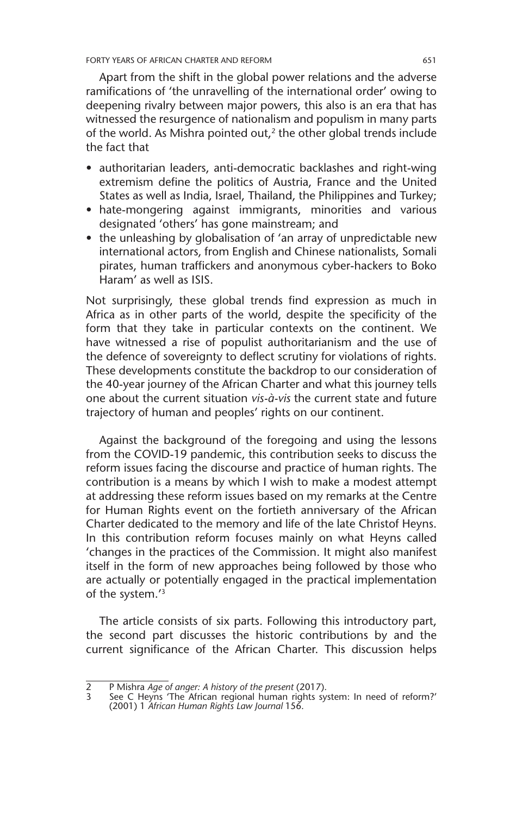Apart from the shift in the global power relations and the adverse ramifications of 'the unravelling of the international order' owing to deepening rivalry between major powers, this also is an era that has witnessed the resurgence of nationalism and populism in many parts of the world. As Mishra pointed out, $2$  the other global trends include the fact that

- authoritarian leaders, anti-democratic backlashes and right-wing extremism define the politics of Austria, France and the United States as well as India, Israel, Thailand, the Philippines and Turkey;
- hate-mongering against immigrants, minorities and various designated 'others' has gone mainstream; and
- the unleashing by globalisation of 'an array of unpredictable new international actors, from English and Chinese nationalists, Somali pirates, human traffickers and anonymous cyber-hackers to Boko Haram' as well as ISIS.

Not surprisingly, these global trends find expression as much in Africa as in other parts of the world, despite the specificity of the form that they take in particular contexts on the continent. We have witnessed a rise of populist authoritarianism and the use of the defence of sovereignty to deflect scrutiny for violations of rights. These developments constitute the backdrop to our consideration of the 40-year journey of the African Charter and what this journey tells one about the current situation *vis-à-vis* the current state and future trajectory of human and peoples' rights on our continent.

Against the background of the foregoing and using the lessons from the COVID-19 pandemic, this contribution seeks to discuss the reform issues facing the discourse and practice of human rights. The contribution is a means by which I wish to make a modest attempt at addressing these reform issues based on my remarks at the Centre for Human Rights event on the fortieth anniversary of the African Charter dedicated to the memory and life of the late Christof Heyns. In this contribution reform focuses mainly on what Heyns called 'changes in the practices of the Commission. It might also manifest itself in the form of new approaches being followed by those who are actually or potentially engaged in the practical implementation of the system.'3

The article consists of six parts. Following this introductory part, the second part discusses the historic contributions by and the current significance of the African Charter. This discussion helps

<sup>2</sup> P Mishra *Age of anger: A history of the present* (2017).

<sup>3</sup> See C Heyns 'The African regional human rights system: In need of reform?' (2001) 1 *African Human Rights Law Journal* 156.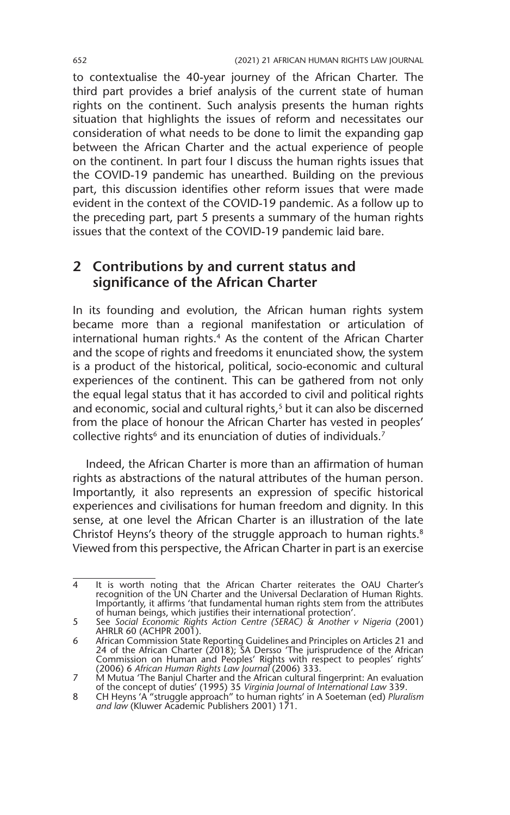to contextualise the 40-year journey of the African Charter. The third part provides a brief analysis of the current state of human rights on the continent. Such analysis presents the human rights situation that highlights the issues of reform and necessitates our consideration of what needs to be done to limit the expanding gap between the African Charter and the actual experience of people on the continent. In part four I discuss the human rights issues that the COVID-19 pandemic has unearthed. Building on the previous part, this discussion identifies other reform issues that were made evident in the context of the COVID-19 pandemic. As a follow up to the preceding part, part 5 presents a summary of the human rights issues that the context of the COVID-19 pandemic laid bare.

### **2 Contributions by and current status and significance of the African Charter**

In its founding and evolution, the African human rights system became more than a regional manifestation or articulation of international human rights.<sup>4</sup> As the content of the African Charter and the scope of rights and freedoms it enunciated show, the system is a product of the historical, political, socio-economic and cultural experiences of the continent. This can be gathered from not only the equal legal status that it has accorded to civil and political rights and economic, social and cultural rights,<sup>5</sup> but it can also be discerned from the place of honour the African Charter has vested in peoples' collective rights<sup>6</sup> and its enunciation of duties of individuals.<sup>7</sup>

Indeed, the African Charter is more than an affirmation of human rights as abstractions of the natural attributes of the human person. Importantly, it also represents an expression of specific historical experiences and civilisations for human freedom and dignity. In this sense, at one level the African Charter is an illustration of the late Christof Heyns's theory of the struggle approach to human rights.<sup>8</sup> Viewed from this perspective, the African Charter in part is an exercise

<sup>4</sup> It is worth noting that the African Charter reiterates the OAU Charter's recognition of the UN Charter and the Universal Declaration of Human Rights. Importantly, it affirms 'that fundamental human rights stem from the attributes of human beings, which justifies their international protection'.

<sup>5</sup> See *Social Economic Rights Action Centre (SERAC) & Another v Nigeria* (2001) AHRLR 60 (ACHPR 2001).

<sup>6</sup> African Commission State Reporting Guidelines and Principles on Articles 21 and 24 of the African Charter (2018); SA Dersso 'The jurisprudence of the African Commission on Human and Peoples' Rights with respect to peoples' rights' (2006) 6 *African Human Rights Law Journal* (2006) 333. 7 M Mutua 'The Banjul Charter and the African cultural fingerprint: An evaluation

of the concept of duties' (1995) 35 *Virginia Journal of International Law* 339.

<sup>8</sup> CH Heyns 'A "struggle approach" to human rights' in A Soeteman (ed) *Pluralism and law* (Kluwer Academic Publishers 2001) 171.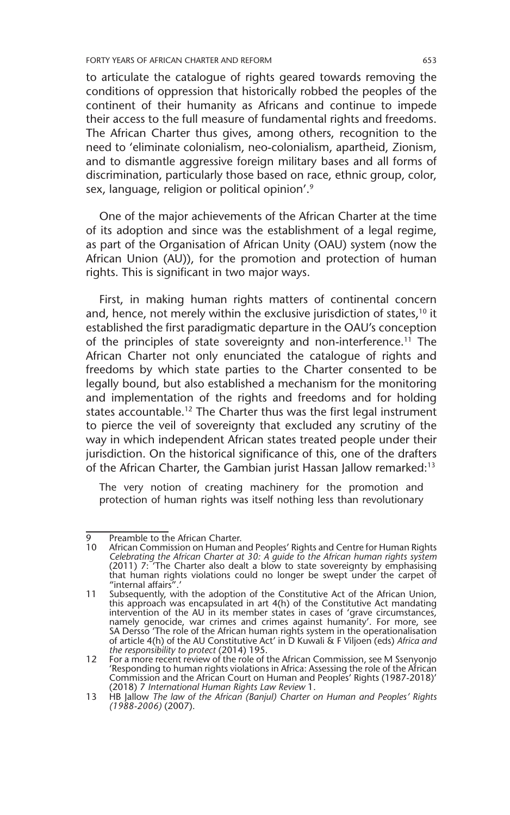to articulate the catalogue of rights geared towards removing the conditions of oppression that historically robbed the peoples of the continent of their humanity as Africans and continue to impede their access to the full measure of fundamental rights and freedoms. The African Charter thus gives, among others, recognition to the need to 'eliminate colonialism, neo-colonialism, apartheid, Zionism, and to dismantle aggressive foreign military bases and all forms of discrimination, particularly those based on race, ethnic group, color, sex, language, religion or political opinion'.<sup>9</sup>

One of the major achievements of the African Charter at the time of its adoption and since was the establishment of a legal regime, as part of the Organisation of African Unity (OAU) system (now the African Union (AU)), for the promotion and protection of human rights. This is significant in two major ways.

First, in making human rights matters of continental concern and, hence, not merely within the exclusive jurisdiction of states,<sup>10</sup> it established the first paradigmatic departure in the OAU's conception of the principles of state sovereignty and non-interference.<sup>11</sup> The African Charter not only enunciated the catalogue of rights and freedoms by which state parties to the Charter consented to be legally bound, but also established a mechanism for the monitoring and implementation of the rights and freedoms and for holding states accountable.<sup>12</sup> The Charter thus was the first legal instrument to pierce the veil of sovereignty that excluded any scrutiny of the way in which independent African states treated people under their jurisdiction. On the historical significance of this, one of the drafters of the African Charter, the Gambian jurist Hassan Jallow remarked:<sup>13</sup>

The very notion of creating machinery for the promotion and protection of human rights was itself nothing less than revolutionary

<sup>9</sup> Preamble to the African Charter.

<sup>10</sup> African Commission on Human and Peoples' Rights and Centre for Human Rights *Celebrating the African Charter at 30: A guide to the African human rights system* (2011) 7: 'The Charter also dealt a blow to state sovereignty by emphasising that human rights violations could no longer be swept under the carpet of "internal affairs

<sup>11</sup> Subsequently, with the adoption of the Constitutive Act of the African Union, this approach was encapsulated in art 4(h) of the Constitutive Act mandating intervention of the AU in its member states in cases of 'grave circumstances, namely genocide, war crimes and crimes against humanity'. For more, see SA Dersso 'The role of the African human rights system in the operationalisation of article 4(h) of the AU Constitutive Act' in D Kuwali & F Viljoen (eds) *Africa and the responsibility to protect* (2014) 195.

<sup>12</sup> For a more recent review of the role of the African Commission, see M Ssenyonjo 'Responding to human rights violations in Africa: Assessing the role of the African Commission and the African Court on Human and Peoples' Rights (1987-2018)' (2018) 7 *International Human Rights Law Review* 1.

<sup>13</sup> HB Jallow *The law of the African (Banjul) Charter on Human and Peoples' Rights (1988-2006)* (2007).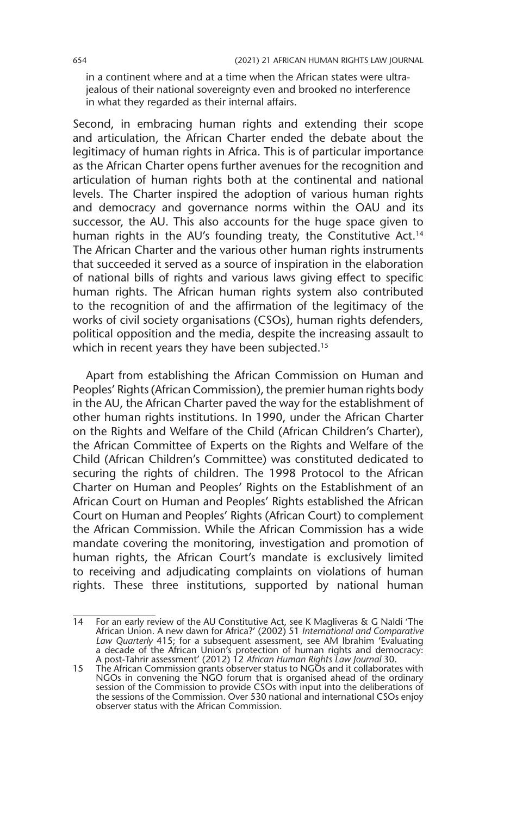in a continent where and at a time when the African states were ultrajealous of their national sovereignty even and brooked no interference in what they regarded as their internal affairs.

Second, in embracing human rights and extending their scope and articulation, the African Charter ended the debate about the legitimacy of human rights in Africa. This is of particular importance as the African Charter opens further avenues for the recognition and articulation of human rights both at the continental and national levels. The Charter inspired the adoption of various human rights and democracy and governance norms within the OAU and its successor, the AU. This also accounts for the huge space given to human rights in the AU's founding treaty, the Constitutive Act.<sup>14</sup> The African Charter and the various other human rights instruments that succeeded it served as a source of inspiration in the elaboration of national bills of rights and various laws giving effect to specific human rights. The African human rights system also contributed to the recognition of and the affirmation of the legitimacy of the works of civil society organisations (CSOs), human rights defenders, political opposition and the media, despite the increasing assault to which in recent years they have been subjected.<sup>15</sup>

Apart from establishing the African Commission on Human and Peoples' Rights (African Commission), the premier human rights body in the AU, the African Charter paved the way for the establishment of other human rights institutions. In 1990, under the African Charter on the Rights and Welfare of the Child (African Children's Charter), the African Committee of Experts on the Rights and Welfare of the Child (African Children's Committee) was constituted dedicated to securing the rights of children. The 1998 Protocol to the African Charter on Human and Peoples' Rights on the Establishment of an African Court on Human and Peoples' Rights established the African Court on Human and Peoples' Rights (African Court) to complement the African Commission. While the African Commission has a wide mandate covering the monitoring, investigation and promotion of human rights, the African Court's mandate is exclusively limited to receiving and adjudicating complaints on violations of human rights. These three institutions, supported by national human

<sup>14</sup> For an early review of the AU Constitutive Act, see K Magliveras & G Naldi 'The African Union. A new dawn for Africa?' (2002) 51 *International and Comparative Law Quarterly* 415; for a subsequent assessment, see AM Ibrahim 'Evaluating a decade of the African Union's protection of human rights and democracy: A post-Tahrir assessment' (2012) 12 *African Human Rights Law Journal* 30.

<sup>15</sup> The African Commission grants observer status to NGOs and it collaborates with NGOs in convening the NGO forum that is organised ahead of the ordinary session of the Commission to provide CSOs with input into the deliberations of the sessions of the Commission. Over 530 national and international CSOs enjoy observer status with the African Commission.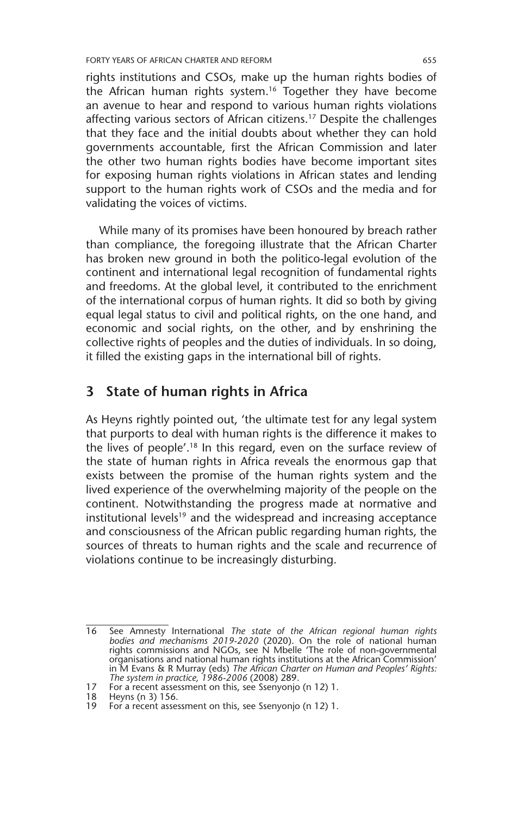FORTY YEARS OF AFRICAN CHARTER AND REFORM 655

rights institutions and CSOs, make up the human rights bodies of the African human rights system.16 Together they have become an avenue to hear and respond to various human rights violations affecting various sectors of African citizens.17 Despite the challenges that they face and the initial doubts about whether they can hold governments accountable, first the African Commission and later the other two human rights bodies have become important sites for exposing human rights violations in African states and lending support to the human rights work of CSOs and the media and for validating the voices of victims.

While many of its promises have been honoured by breach rather than compliance, the foregoing illustrate that the African Charter has broken new ground in both the politico-legal evolution of the continent and international legal recognition of fundamental rights and freedoms. At the global level, it contributed to the enrichment of the international corpus of human rights. It did so both by giving equal legal status to civil and political rights, on the one hand, and economic and social rights, on the other, and by enshrining the collective rights of peoples and the duties of individuals. In so doing, it filled the existing gaps in the international bill of rights.

#### **3 State of human rights in Africa**

As Heyns rightly pointed out, 'the ultimate test for any legal system that purports to deal with human rights is the difference it makes to the lives of people'.18 In this regard, even on the surface review of the state of human rights in Africa reveals the enormous gap that exists between the promise of the human rights system and the lived experience of the overwhelming majority of the people on the continent. Notwithstanding the progress made at normative and institutional levels<sup>19</sup> and the widespread and increasing acceptance and consciousness of the African public regarding human rights, the sources of threats to human rights and the scale and recurrence of violations continue to be increasingly disturbing.

<sup>16</sup> See Amnesty International *The state of the African regional human rights bodies and mechanisms 2019-2020* (2020). On the role of national human rights commissions and NGOs, see N Mbelle 'The role of non-governmental organisations and national human rights institutions at the African Commission' in M Evans & R Murray (eds) *The African Charter on Human and Peoples' Rights: The system in practice, 1986-2006* (2008) 289.

<sup>17</sup> For a recent assessment on this, see Ssenyonjo (n 12) 1.

<sup>18</sup> Heyns (n 3) 156.

<sup>19</sup> For a recent assessment on this, see Ssenyonjo (n 12) 1.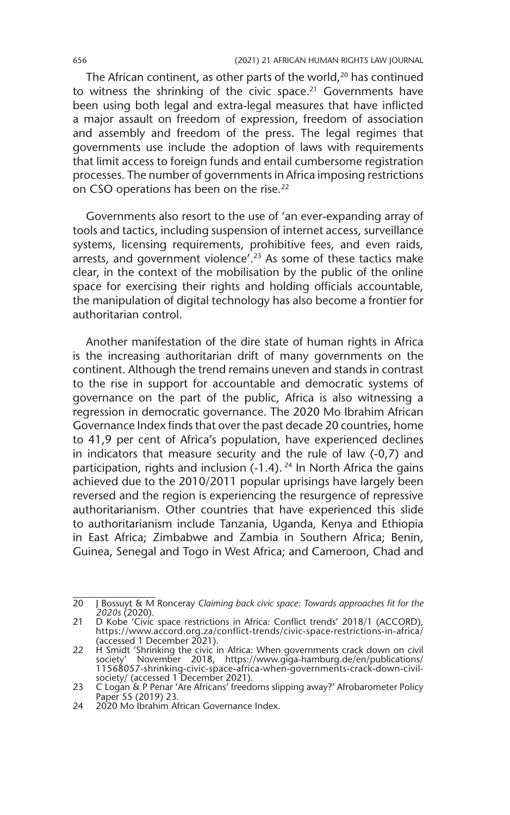The African continent, as other parts of the world, $20$  has continued to witness the shrinking of the civic space. $21$  Governments have been using both legal and extra-legal measures that have inflicted a major assault on freedom of expression, freedom of association and assembly and freedom of the press. The legal regimes that governments use include the adoption of laws with requirements that limit access to foreign funds and entail cumbersome registration processes. The number of governments in Africa imposing restrictions on CSO operations has been on the rise.<sup>22</sup>

Governments also resort to the use of 'an ever-expanding array of tools and tactics, including suspension of internet access, surveillance systems, licensing requirements, prohibitive fees, and even raids, arrests, and government violence'.23 As some of these tactics make clear, in the context of the mobilisation by the public of the online space for exercising their rights and holding officials accountable, the manipulation of digital technology has also become a frontier for authoritarian control.

Another manifestation of the dire state of human rights in Africa is the increasing authoritarian drift of many governments on the continent. Although the trend remains uneven and stands in contrast to the rise in support for accountable and democratic systems of governance on the part of the public, Africa is also witnessing a regression in democratic governance. The 2020 Mo Ibrahim African Governance Index finds that over the past decade 20 countries, home to 41,9 per cent of Africa's population, have experienced declines in indicators that measure security and the rule of law (-0,7) and participation, rights and inclusion  $(-1.4)$ . <sup>24</sup> In North Africa the gains achieved due to the 2010/2011 popular uprisings have largely been reversed and the region is experiencing the resurgence of repressive authoritarianism. Other countries that have experienced this slide to authoritarianism include Tanzania, Uganda, Kenya and Ethiopia in East Africa; Zimbabwe and Zambia in Southern Africa; Benin, Guinea, Senegal and Togo in West Africa; and Cameroon, Chad and

<sup>20</sup> J Bossuyt & M Ronceray *Claiming back civic space: Towards approaches fit for the 2020s* (2020).

<sup>21</sup> D Kobe 'Civic space restrictions in Africa: Conflict trends' 2018/1 (ACCORD), https://www.accord.org.za/conflict-trends/civic-space-restrictions-in-africa/ (accessed 1 December 2021).

<sup>22</sup> H Smidt 'Shrinking the civic in Africa: When governments crack down on civil society' November 2018, https://www.giga-hamburg.de/en/publications/ 11568057-shrinking-civic-space-africa-when-governments-crack-down-civil-society/ (accessed 1 December 2021).

<sup>23</sup> C Logan & P Penar 'Are Africans' freedoms slipping away?' Afrobarometer Policy Paper 55 (2019) 23.

<sup>24</sup> 2020 Mo Ibrahim African Governance Index.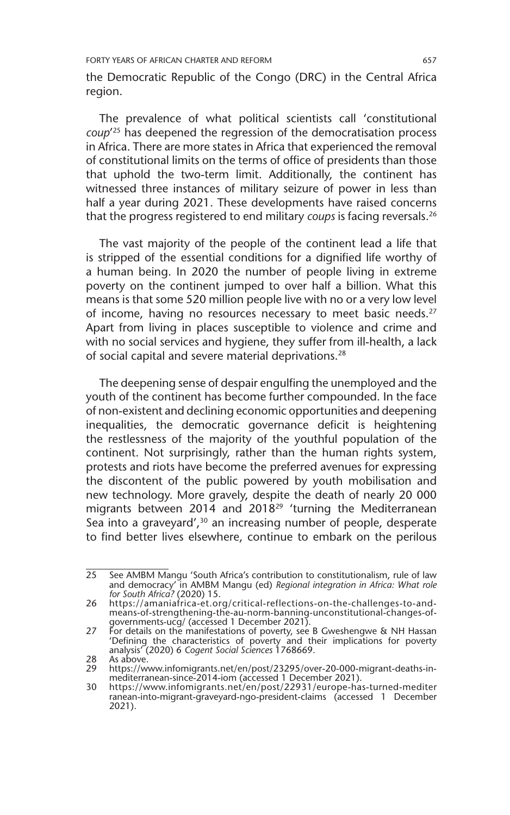the Democratic Republic of the Congo (DRC) in the Central Africa region.

The prevalence of what political scientists call 'constitutional *coup*' 25 has deepened the regression of the democratisation process in Africa. There are more states in Africa that experienced the removal of constitutional limits on the terms of office of presidents than those that uphold the two-term limit. Additionally, the continent has witnessed three instances of military seizure of power in less than half a year during 2021. These developments have raised concerns that the progress registered to end military *coups* is facing reversals.26

The vast majority of the people of the continent lead a life that is stripped of the essential conditions for a dignified life worthy of a human being. In 2020 the number of people living in extreme poverty on the continent jumped to over half a billion. What this means is that some 520 million people live with no or a very low level of income, having no resources necessary to meet basic needs.<sup>27</sup> Apart from living in places susceptible to violence and crime and with no social services and hygiene, they suffer from ill-health, a lack of social capital and severe material deprivations.28

The deepening sense of despair engulfing the unemployed and the youth of the continent has become further compounded. In the face of non-existent and declining economic opportunities and deepening inequalities, the democratic governance deficit is heightening the restlessness of the majority of the youthful population of the continent. Not surprisingly, rather than the human rights system, protests and riots have become the preferred avenues for expressing the discontent of the public powered by youth mobilisation and new technology. More gravely, despite the death of nearly 20 000 migrants between 2014 and 2018<sup>29</sup> 'turning the Mediterranean Sea into a graveyard', $30$  an increasing number of people, desperate to find better lives elsewhere, continue to embark on the perilous

<sup>25</sup> See AMBM Mangu 'South Africa's contribution to constitutionalism, rule of law and democracy' in AMBM Mangu (ed) *Regional integration in Africa: What role for South Africa?* (2020) 15.

<sup>26</sup> https://amaniafrica-et.org/critical-reflections-on-the-challenges-to-andmeans-of-strengthening-the-au-norm-banning-unconstitutional-changes-ofgovernments-ucg/ (accessed 1 December 2021).

<sup>27</sup> For details on the manifestations of poverty, see B Gweshengwe & NH Hassan 'Defining the characteristics of poverty and their implications for poverty analysis' (2020) 6 *Cogent Social Sciences* 1768669.

<sup>28</sup> As above.

<sup>29</sup> https://www.infomigrants.net/en/post/23295/over-20-000-migrant-deaths-in-mediterranean-since-2014-iom (accessed 1 December 2021).

<sup>30</sup> https://www.infomigrants.net/en/post/22931/europe-has-turned-mediter ranean-into-migrant-graveyard-ngo-president-claims (accessed 1 December 2021).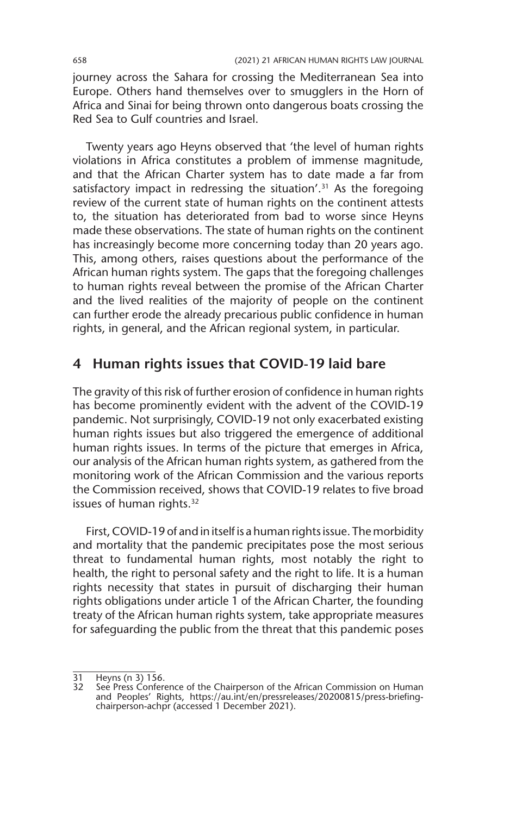journey across the Sahara for crossing the Mediterranean Sea into Europe. Others hand themselves over to smugglers in the Horn of Africa and Sinai for being thrown onto dangerous boats crossing the Red Sea to Gulf countries and Israel.

Twenty years ago Heyns observed that 'the level of human rights violations in Africa constitutes a problem of immense magnitude, and that the African Charter system has to date made a far from satisfactory impact in redressing the situation'.<sup>31</sup> As the foregoing review of the current state of human rights on the continent attests to, the situation has deteriorated from bad to worse since Heyns made these observations. The state of human rights on the continent has increasingly become more concerning today than 20 years ago. This, among others, raises questions about the performance of the African human rights system. The gaps that the foregoing challenges to human rights reveal between the promise of the African Charter and the lived realities of the majority of people on the continent can further erode the already precarious public confidence in human rights, in general, and the African regional system, in particular.

#### **4 Human rights issues that COVID-19 laid bare**

The gravity of this risk of further erosion of confidence in human rights has become prominently evident with the advent of the COVID-19 pandemic. Not surprisingly, COVID-19 not only exacerbated existing human rights issues but also triggered the emergence of additional human rights issues. In terms of the picture that emerges in Africa, our analysis of the African human rights system, as gathered from the monitoring work of the African Commission and the various reports the Commission received, shows that COVID-19 relates to five broad issues of human rights.<sup>32</sup>

First, COVID-19 of and in itself is a human rights issue. The morbidity and mortality that the pandemic precipitates pose the most serious threat to fundamental human rights, most notably the right to health, the right to personal safety and the right to life. It is a human rights necessity that states in pursuit of discharging their human rights obligations under article 1 of the African Charter, the founding treaty of the African human rights system, take appropriate measures for safeguarding the public from the threat that this pandemic poses

<sup>31</sup> Heyns (n 3) 156.

<sup>32</sup> See Press Conference of the Chairperson of the African Commission on Human and Peoples' Rights, https://au.int/en/pressreleases/20200815/press-briefingchairperson-achpr (accessed 1 December 2021).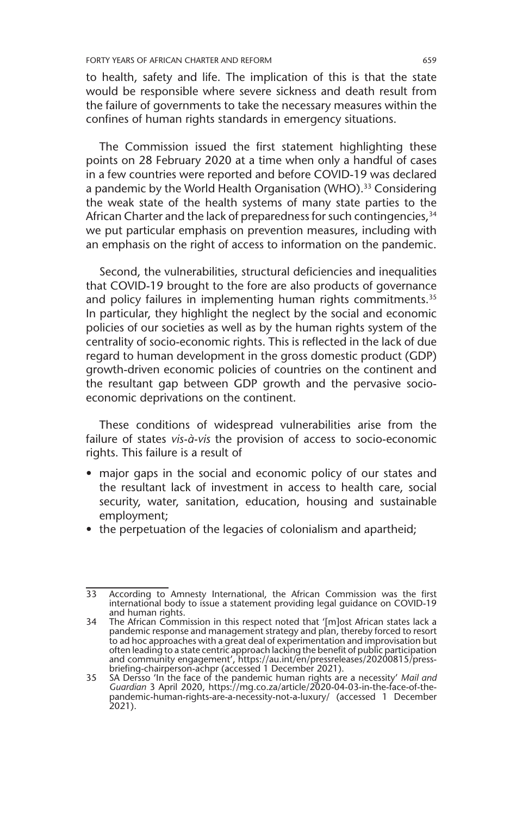to health, safety and life. The implication of this is that the state would be responsible where severe sickness and death result from the failure of governments to take the necessary measures within the confines of human rights standards in emergency situations.

The Commission issued the first statement highlighting these points on 28 February 2020 at a time when only a handful of cases in a few countries were reported and before COVID-19 was declared a pandemic by the World Health Organisation (WHO).<sup>33</sup> Considering the weak state of the health systems of many state parties to the African Charter and the lack of preparedness for such contingencies, 34 we put particular emphasis on prevention measures, including with an emphasis on the right of access to information on the pandemic.

Second, the vulnerabilities, structural deficiencies and inequalities that COVID-19 brought to the fore are also products of governance and policy failures in implementing human rights commitments.<sup>35</sup> In particular, they highlight the neglect by the social and economic policies of our societies as well as by the human rights system of the centrality of socio-economic rights. This is reflected in the lack of due regard to human development in the gross domestic product (GDP) growth-driven economic policies of countries on the continent and the resultant gap between GDP growth and the pervasive socioeconomic deprivations on the continent.

These conditions of widespread vulnerabilities arise from the failure of states *vis-à-vis* the provision of access to socio-economic rights. This failure is a result of

- major gaps in the social and economic policy of our states and the resultant lack of investment in access to health care, social security, water, sanitation, education, housing and sustainable employment;
- the perpetuation of the legacies of colonialism and apartheid;

<sup>33</sup> According to Amnesty International, the African Commission was the first international body to issue a statement providing legal guidance on COVID-19 and human rights.

<sup>34</sup> The African Commission in this respect noted that '[m]ost African states lack a pandemic response and management strategy and plan, thereby forced to resort to ad hoc approaches with a great deal of experimentation and improvisation but often leading to a state centric approach lacking the benefit of public participation and community engagement', https://au.int/en/pressreleases/20200815/press-briefing-chairperson-achpr (accessed 1 December 2021). 35 SA Dersso 'In the face of the pandemic human rights are a necessity' *Mail and* 

*Guardian* 3 April 2020, https://mg.co.za/article/2020-04-03-in-the-face-of-thepandemic-human-rights-are-a-necessity-not-a-luxury/ (accessed 1 December 2021).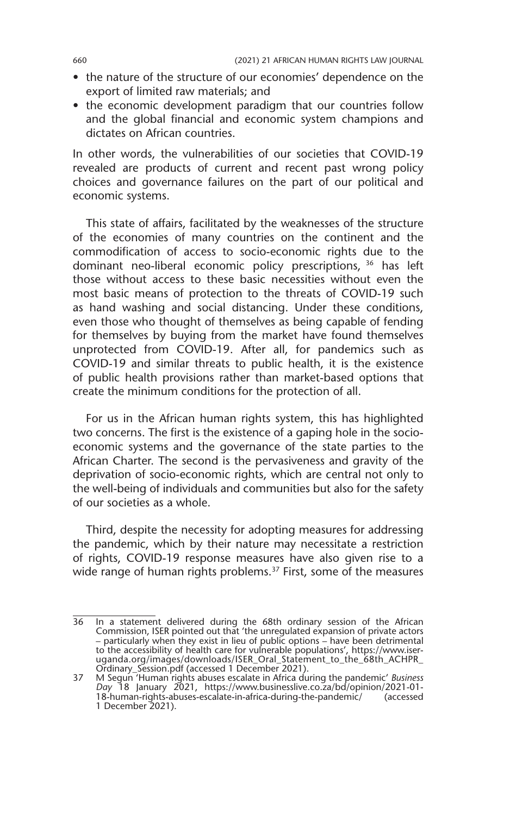- the nature of the structure of our economies' dependence on the export of limited raw materials; and
- the economic development paradigm that our countries follow and the global financial and economic system champions and dictates on African countries.

In other words, the vulnerabilities of our societies that COVID-19 revealed are products of current and recent past wrong policy choices and governance failures on the part of our political and economic systems.

This state of affairs, facilitated by the weaknesses of the structure of the economies of many countries on the continent and the commodification of access to socio-economic rights due to the dominant neo-liberal economic policy prescriptions, 36 has left those without access to these basic necessities without even the most basic means of protection to the threats of COVID-19 such as hand washing and social distancing. Under these conditions, even those who thought of themselves as being capable of fending for themselves by buying from the market have found themselves unprotected from COVID-19. After all, for pandemics such as COVID-19 and similar threats to public health, it is the existence of public health provisions rather than market-based options that create the minimum conditions for the protection of all.

For us in the African human rights system, this has highlighted two concerns. The first is the existence of a gaping hole in the socioeconomic systems and the governance of the state parties to the African Charter. The second is the pervasiveness and gravity of the deprivation of socio-economic rights, which are central not only to the well-being of individuals and communities but also for the safety of our societies as a whole.

Third, despite the necessity for adopting measures for addressing the pandemic, which by their nature may necessitate a restriction of rights, COVID-19 response measures have also given rise to a wide range of human rights problems.<sup>37</sup> First, some of the measures

<sup>36</sup> In a statement delivered during the 68th ordinary session of the African Commission, ISER pointed out that 'the unregulated expansion of private actors – particularly when they exist in lieu of public options – have been detrimental to the accessibility of health care for vulnerable populations', https://www.iseruganda.org/images/downloads/ISER\_Oral\_Statement\_to\_the\_68th\_ACHPR\_ Ordinary\_Session.pdf (accessed 1 December 2021). 37 M Segun 'Human rights abuses escalate in Africa during the pandemic' *Business* 

*Day* 18 January 2021, https://www.businesslive.co.za/bd/opinion/2021-01- 18-human-rights-abuses-escalate-in-africa-during-the-pandemic/ (accessed 1 December 2021).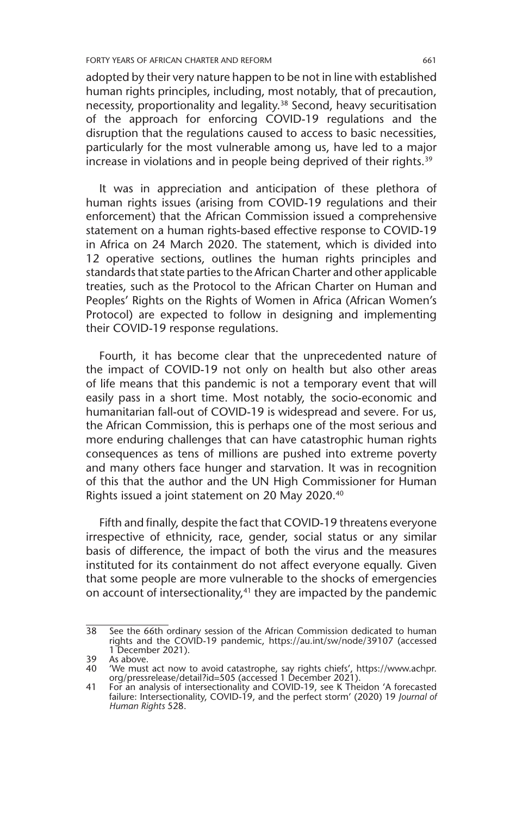adopted by their very nature happen to be not in line with established human rights principles, including, most notably, that of precaution, necessity, proportionality and legality.<sup>38</sup> Second, heavy securitisation of the approach for enforcing COVID-19 regulations and the disruption that the regulations caused to access to basic necessities, particularly for the most vulnerable among us, have led to a major increase in violations and in people being deprived of their rights.<sup>39</sup>

It was in appreciation and anticipation of these plethora of human rights issues (arising from COVID-19 regulations and their enforcement) that the African Commission issued a comprehensive statement on a human rights-based effective response to COVID-19 in Africa on 24 March 2020. The statement, which is divided into 12 operative sections, outlines the human rights principles and standards that state parties to the African Charter and other applicable treaties, such as the Protocol to the African Charter on Human and Peoples' Rights on the Rights of Women in Africa (African Women's Protocol) are expected to follow in designing and implementing their COVID-19 response regulations.

Fourth, it has become clear that the unprecedented nature of the impact of COVID-19 not only on health but also other areas of life means that this pandemic is not a temporary event that will easily pass in a short time. Most notably, the socio-economic and humanitarian fall-out of COVID-19 is widespread and severe. For us, the African Commission, this is perhaps one of the most serious and more enduring challenges that can have catastrophic human rights consequences as tens of millions are pushed into extreme poverty and many others face hunger and starvation. It was in recognition of this that the author and the UN High Commissioner for Human Rights issued a joint statement on 20 May 2020.40

Fifth and finally, despite the fact that COVID-19 threatens everyone irrespective of ethnicity, race, gender, social status or any similar basis of difference, the impact of both the virus and the measures instituted for its containment do not affect everyone equally. Given that some people are more vulnerable to the shocks of emergencies on account of intersectionality,<sup>41</sup> they are impacted by the pandemic

<sup>38</sup> See the 66th ordinary session of the African Commission dedicated to human rights and the COVID-19 pandemic, https://au.int/sw/node/39107 (accessed 1 December 2021).

<sup>39</sup> As above. 40 'We must act now to avoid catastrophe, say rights chiefs', https://www.achpr. org/pressrelease/detail?id=505 (accessed 1 December 2021).

<sup>41</sup> For an analysis of intersectionality and COVID-19, see K Theidon 'A forecasted failure: Intersectionality, COVID-19, and the perfect storm' (2020) 19 *Journal of Human Rights* 528.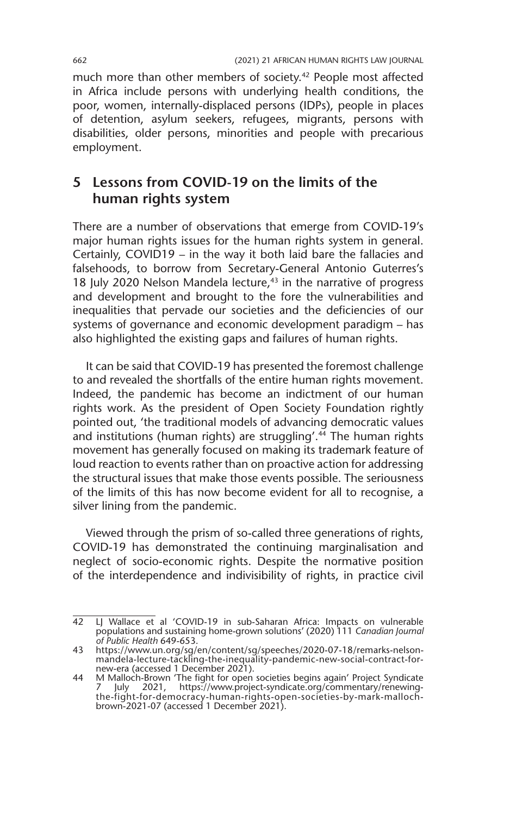much more than other members of society.<sup>42</sup> People most affected in Africa include persons with underlying health conditions, the poor, women, internally-displaced persons (IDPs), people in places of detention, asylum seekers, refugees, migrants, persons with disabilities, older persons, minorities and people with precarious employment.

## **5 Lessons from COVID-19 on the limits of the human rights system**

There are a number of observations that emerge from COVID-19's major human rights issues for the human rights system in general. Certainly, COVID19 – in the way it both laid bare the fallacies and falsehoods, to borrow from Secretary-General Antonio Guterres's 18 July 2020 Nelson Mandela lecture,<sup>43</sup> in the narrative of progress and development and brought to the fore the vulnerabilities and inequalities that pervade our societies and the deficiencies of our systems of governance and economic development paradigm – has also highlighted the existing gaps and failures of human rights.

It can be said that COVID-19 has presented the foremost challenge to and revealed the shortfalls of the entire human rights movement. Indeed, the pandemic has become an indictment of our human rights work. As the president of Open Society Foundation rightly pointed out, 'the traditional models of advancing democratic values and institutions (human rights) are struggling'.<sup>44</sup> The human rights movement has generally focused on making its trademark feature of loud reaction to events rather than on proactive action for addressing the structural issues that make those events possible. The seriousness of the limits of this has now become evident for all to recognise, a silver lining from the pandemic.

Viewed through the prism of so-called three generations of rights, COVID-19 has demonstrated the continuing marginalisation and neglect of socio-economic rights. Despite the normative position of the interdependence and indivisibility of rights, in practice civil

<sup>42</sup> LJ Wallace et al 'COVID-19 in sub-Saharan Africa: Impacts on vulnerable populations and sustaining home-grown solutions' (2020) 111 *Canadian Journal of Public Health* 649-653.

<sup>43</sup> https://www.un.org/sg/en/content/sg/speeches/2020-07-18/remarks-nelsonmandela-lecture-tackling-the-inequality-pandemic-new-social-contract-for-new-era (accessed 1 December 2021).

<sup>44</sup> M Malloch-Brown 'The fight for open societies begins again' Project Syndicate 7 July 2021, https://www.project-syndicate.org/commentary/renewingthe-fight-for-democracy-human-rights-open-societies-by-mark-mallochbrown-2021-07 (accessed 1 December 2021).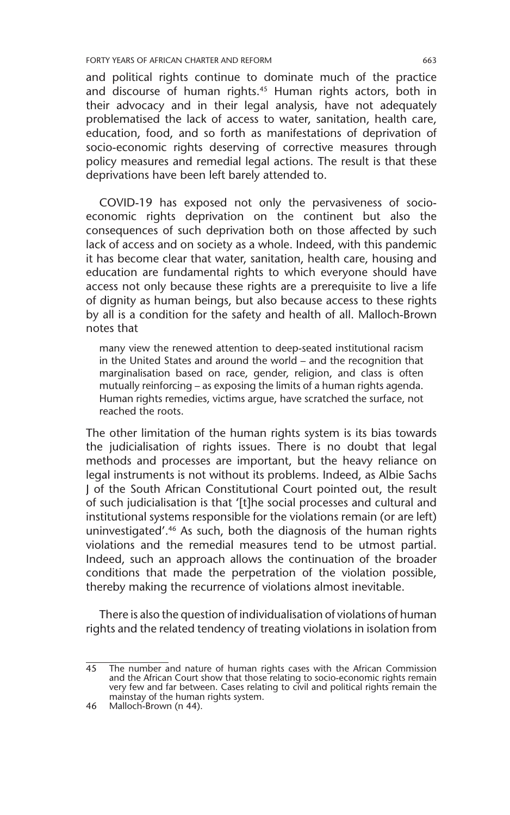and political rights continue to dominate much of the practice and discourse of human rights.<sup>45</sup> Human rights actors, both in their advocacy and in their legal analysis, have not adequately problematised the lack of access to water, sanitation, health care, education, food, and so forth as manifestations of deprivation of socio-economic rights deserving of corrective measures through policy measures and remedial legal actions. The result is that these deprivations have been left barely attended to.

COVID-19 has exposed not only the pervasiveness of socioeconomic rights deprivation on the continent but also the consequences of such deprivation both on those affected by such lack of access and on society as a whole. Indeed, with this pandemic it has become clear that water, sanitation, health care, housing and education are fundamental rights to which everyone should have access not only because these rights are a prerequisite to live a life of dignity as human beings, but also because access to these rights by all is a condition for the safety and health of all. Malloch-Brown notes that

many view the renewed attention to deep-seated institutional racism in the United States and around the world – and the recognition that marginalisation based on race, gender, religion, and class is often mutually reinforcing – as exposing the limits of a human rights agenda. Human rights remedies, victims argue, have scratched the surface, not reached the roots.

The other limitation of the human rights system is its bias towards the judicialisation of rights issues. There is no doubt that legal methods and processes are important, but the heavy reliance on legal instruments is not without its problems. Indeed, as Albie Sachs J of the South African Constitutional Court pointed out, the result of such judicialisation is that '[t]he social processes and cultural and institutional systems responsible for the violations remain (or are left) uninvestigated'.46 As such, both the diagnosis of the human rights violations and the remedial measures tend to be utmost partial. Indeed, such an approach allows the continuation of the broader conditions that made the perpetration of the violation possible, thereby making the recurrence of violations almost inevitable.

There is also the question of individualisation of violations of human rights and the related tendency of treating violations in isolation from

<sup>45</sup> The number and nature of human rights cases with the African Commission and the African Court show that those relating to socio-economic rights remain very few and far between. Cases relating to civil and political rights remain the mainstay of the human rights system.

<sup>46</sup> Malloch-Brown (n 44).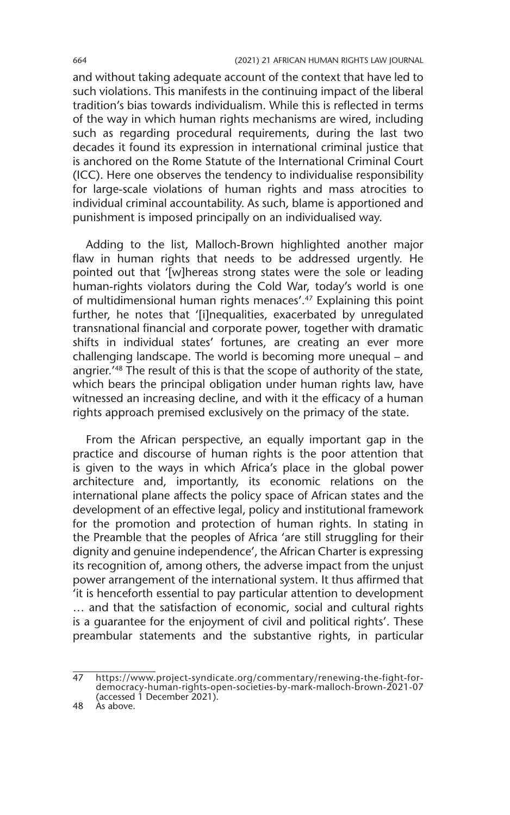and without taking adequate account of the context that have led to such violations. This manifests in the continuing impact of the liberal tradition's bias towards individualism. While this is reflected in terms of the way in which human rights mechanisms are wired, including such as regarding procedural requirements, during the last two decades it found its expression in international criminal justice that is anchored on the Rome Statute of the International Criminal Court (ICC). Here one observes the tendency to individualise responsibility for large-scale violations of human rights and mass atrocities to individual criminal accountability. As such, blame is apportioned and punishment is imposed principally on an individualised way.

Adding to the list, Malloch-Brown highlighted another major flaw in human rights that needs to be addressed urgently. He pointed out that '[w]hereas strong states were the sole or leading human-rights violators during the Cold War, today's world is one of multidimensional human rights menaces'.47 Explaining this point further, he notes that '[i]nequalities, exacerbated by unregulated transnational financial and corporate power, together with dramatic shifts in individual states' fortunes, are creating an ever more challenging landscape. The world is becoming more unequal – and angrier.'48 The result of this is that the scope of authority of the state, which bears the principal obligation under human rights law, have witnessed an increasing decline, and with it the efficacy of a human rights approach premised exclusively on the primacy of the state.

From the African perspective, an equally important gap in the practice and discourse of human rights is the poor attention that is given to the ways in which Africa's place in the global power architecture and, importantly, its economic relations on the international plane affects the policy space of African states and the development of an effective legal, policy and institutional framework for the promotion and protection of human rights. In stating in the Preamble that the peoples of Africa 'are still struggling for their dignity and genuine independence', the African Charter is expressing its recognition of, among others, the adverse impact from the unjust power arrangement of the international system. It thus affirmed that 'it is henceforth essential to pay particular attention to development … and that the satisfaction of economic, social and cultural rights is a guarantee for the enjoyment of civil and political rights'. These preambular statements and the substantive rights, in particular

<sup>47</sup> https://www.project-syndicate.org/commentary/renewing-the-fight-fordemocracy-human-rights-open-societies-by-mark-malloch-brown-2021-07 (accessed 1 December 2021).

<sup>48</sup> As above.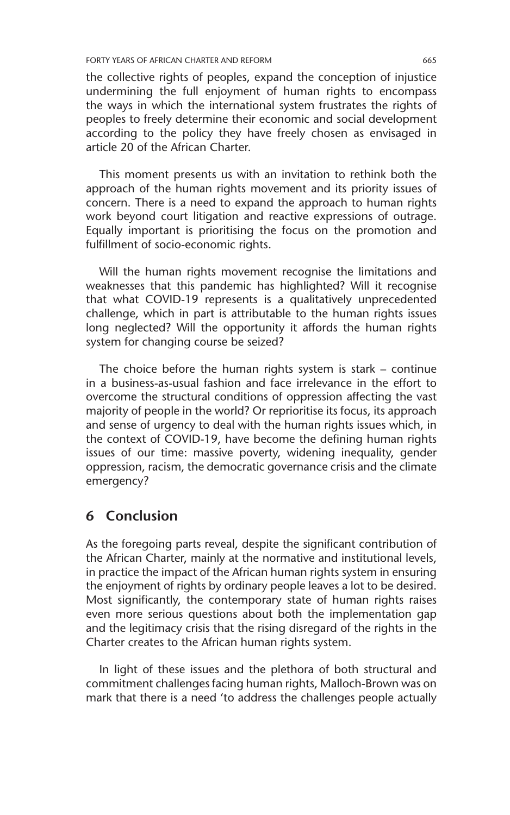the collective rights of peoples, expand the conception of injustice undermining the full enjoyment of human rights to encompass the ways in which the international system frustrates the rights of peoples to freely determine their economic and social development according to the policy they have freely chosen as envisaged in article 20 of the African Charter.

This moment presents us with an invitation to rethink both the approach of the human rights movement and its priority issues of concern. There is a need to expand the approach to human rights work beyond court litigation and reactive expressions of outrage. Equally important is prioritising the focus on the promotion and fulfillment of socio-economic rights.

Will the human rights movement recognise the limitations and weaknesses that this pandemic has highlighted? Will it recognise that what COVID-19 represents is a qualitatively unprecedented challenge, which in part is attributable to the human rights issues long neglected? Will the opportunity it affords the human rights system for changing course be seized?

The choice before the human rights system is stark – continue in a business-as-usual fashion and face irrelevance in the effort to overcome the structural conditions of oppression affecting the vast majority of people in the world? Or reprioritise its focus, its approach and sense of urgency to deal with the human rights issues which, in the context of COVID-19, have become the defining human rights issues of our time: massive poverty, widening inequality, gender oppression, racism, the democratic governance crisis and the climate emergency?

#### **6 Conclusion**

As the foregoing parts reveal, despite the significant contribution of the African Charter, mainly at the normative and institutional levels, in practice the impact of the African human rights system in ensuring the enjoyment of rights by ordinary people leaves a lot to be desired. Most significantly, the contemporary state of human rights raises even more serious questions about both the implementation gap and the legitimacy crisis that the rising disregard of the rights in the Charter creates to the African human rights system.

In light of these issues and the plethora of both structural and commitment challenges facing human rights, Malloch-Brown was on mark that there is a need 'to address the challenges people actually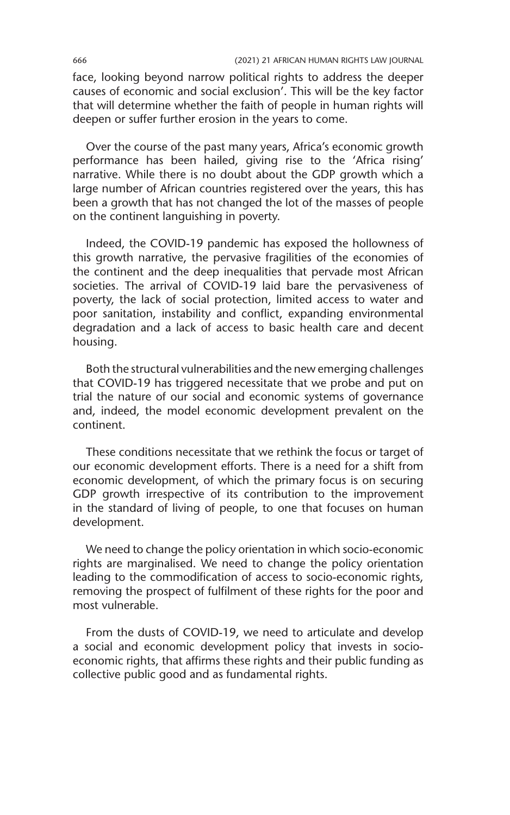face, looking beyond narrow political rights to address the deeper causes of economic and social exclusion'. This will be the key factor that will determine whether the faith of people in human rights will deepen or suffer further erosion in the years to come.

Over the course of the past many years, Africa's economic growth performance has been hailed, giving rise to the 'Africa rising' narrative. While there is no doubt about the GDP growth which a large number of African countries registered over the years, this has been a growth that has not changed the lot of the masses of people on the continent languishing in poverty.

Indeed, the COVID-19 pandemic has exposed the hollowness of this growth narrative, the pervasive fragilities of the economies of the continent and the deep inequalities that pervade most African societies. The arrival of COVID-19 laid bare the pervasiveness of poverty, the lack of social protection, limited access to water and poor sanitation, instability and conflict, expanding environmental degradation and a lack of access to basic health care and decent housing.

Both the structural vulnerabilities and the new emerging challenges that COVID-19 has triggered necessitate that we probe and put on trial the nature of our social and economic systems of governance and, indeed, the model economic development prevalent on the continent.

These conditions necessitate that we rethink the focus or target of our economic development efforts. There is a need for a shift from economic development, of which the primary focus is on securing GDP growth irrespective of its contribution to the improvement in the standard of living of people, to one that focuses on human development.

We need to change the policy orientation in which socio-economic rights are marginalised. We need to change the policy orientation leading to the commodification of access to socio-economic rights, removing the prospect of fulfilment of these rights for the poor and most vulnerable.

From the dusts of COVID-19, we need to articulate and develop a social and economic development policy that invests in socioeconomic rights, that affirms these rights and their public funding as collective public good and as fundamental rights.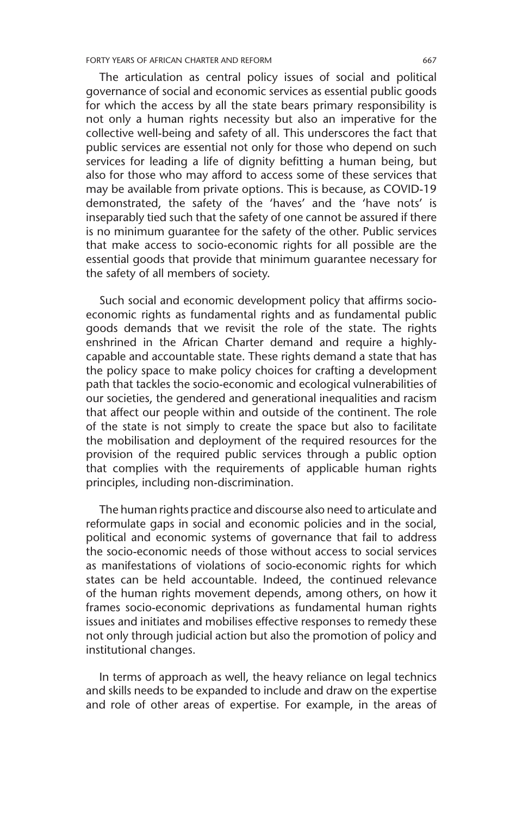FORTY YEARS OF AFRICAN CHARTER AND REFORM 667

The articulation as central policy issues of social and political governance of social and economic services as essential public goods for which the access by all the state bears primary responsibility is not only a human rights necessity but also an imperative for the collective well-being and safety of all. This underscores the fact that public services are essential not only for those who depend on such services for leading a life of dignity befitting a human being, but also for those who may afford to access some of these services that may be available from private options. This is because, as COVID-19 demonstrated, the safety of the 'haves' and the 'have nots' is inseparably tied such that the safety of one cannot be assured if there is no minimum guarantee for the safety of the other. Public services that make access to socio-economic rights for all possible are the essential goods that provide that minimum guarantee necessary for the safety of all members of society.

Such social and economic development policy that affirms socioeconomic rights as fundamental rights and as fundamental public goods demands that we revisit the role of the state. The rights enshrined in the African Charter demand and require a highlycapable and accountable state. These rights demand a state that has the policy space to make policy choices for crafting a development path that tackles the socio-economic and ecological vulnerabilities of our societies, the gendered and generational inequalities and racism that affect our people within and outside of the continent. The role of the state is not simply to create the space but also to facilitate the mobilisation and deployment of the required resources for the provision of the required public services through a public option that complies with the requirements of applicable human rights principles, including non-discrimination.

The human rights practice and discourse also need to articulate and reformulate gaps in social and economic policies and in the social, political and economic systems of governance that fail to address the socio-economic needs of those without access to social services as manifestations of violations of socio-economic rights for which states can be held accountable. Indeed, the continued relevance of the human rights movement depends, among others, on how it frames socio-economic deprivations as fundamental human rights issues and initiates and mobilises effective responses to remedy these not only through judicial action but also the promotion of policy and institutional changes.

In terms of approach as well, the heavy reliance on legal technics and skills needs to be expanded to include and draw on the expertise and role of other areas of expertise. For example, in the areas of